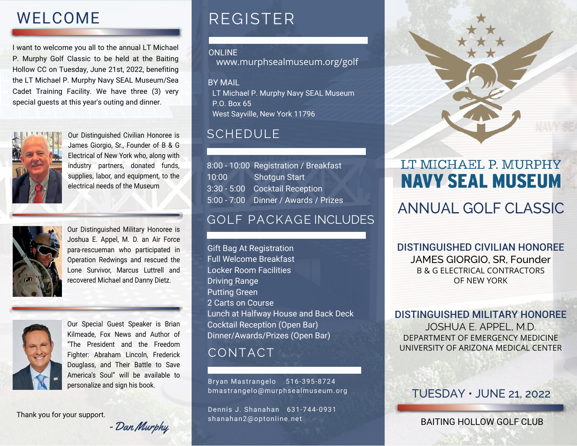# WELCOME

I want to welcome you all to the annual LT Michael P. Murphy Golf Classic to be held at the Baiting Hollow CC on Tuesday, June 21st, 2022, benefiting the LT Michael P. Murphy Navy SEAL Museum/Sea Cadet Training Facility. We have three (3) very special guests at this year's outing and dinner.



Our Distinguished Civilian Honoree is James Giorgio, Sr., Founder of B & G Electrical of New York who, along with industry partners, donated funds, supplies, labor, and equipment, to the electrical needs of the Museum



Our Distinguished Military Honoree is Joshua E. Appel, M. D. an Air Force para-rescueman who participated in Operation Redwings and rescued the Lone Survivor, Marcus Luttrell and recovered Michael and Danny Dietz.



Our Special Guest Speaker is Brian Kilmeade, Fox News and Author of "The President and the Freedom Fighter: Abraham Lincoln, Frederick Douglass, and Their Battle to Save America's Soul" will be available to personalize and sign his book.

Thank you for your support.

8:00 - 10:00 Registration / Breakfast 10:00 Shotgun Start 3:30 - 5:00 Cocktail Reception 5:00 - 7:00 Dinner / Awards / Prizes

REGISTER

ONLINE

BY MAIL

SCHEDULE

,

West Sayville, New York 11796

. P.O Box 65

## GOLF PACKAGE INCLUDES

www.murphsealmuseum.org/golf

LT Michael P. Murphy Navy SEAL Museum

Gift Bag At Registration Full Welcome Breakfast Locker Room Facilities Driving Range Putting Green 2 Carts on Course Lunch at Halfway House and Back Deck Cocktail Reception (Open Bar) Dinner/Awards/Prizes (Open Bar)

### CONTACT

Bryan Mastrangelo 516-395-8724 bmastrangelo@murphsealmuseum.org

Dennis J. Shanahan 631-744-0931 shanahan2@optonline.net



# LT MICHAEL P. MURPHY **NAVY SEAL MUSEUM**

# ANNUAL GOLF CLASSIC

DISTINGUISHED CIVILIAN HONOREE JAMES GIORGIO, SR, Founder B & G ELECTRICAL CONTRACTORS OF NEW YORK

DISTINGUISHED MILITARY HONOREE

JOSHUA E. APPEL, M.D. DEPARTMENT OF EMERGENCY MEDICINE UNIVERSITY OF ARIZONA MEDICAL CENTER

#### TUESDAY • JUNE 21, 2022

#### BAITING HOLLOW GOLF CLUB

-Dan Murphy